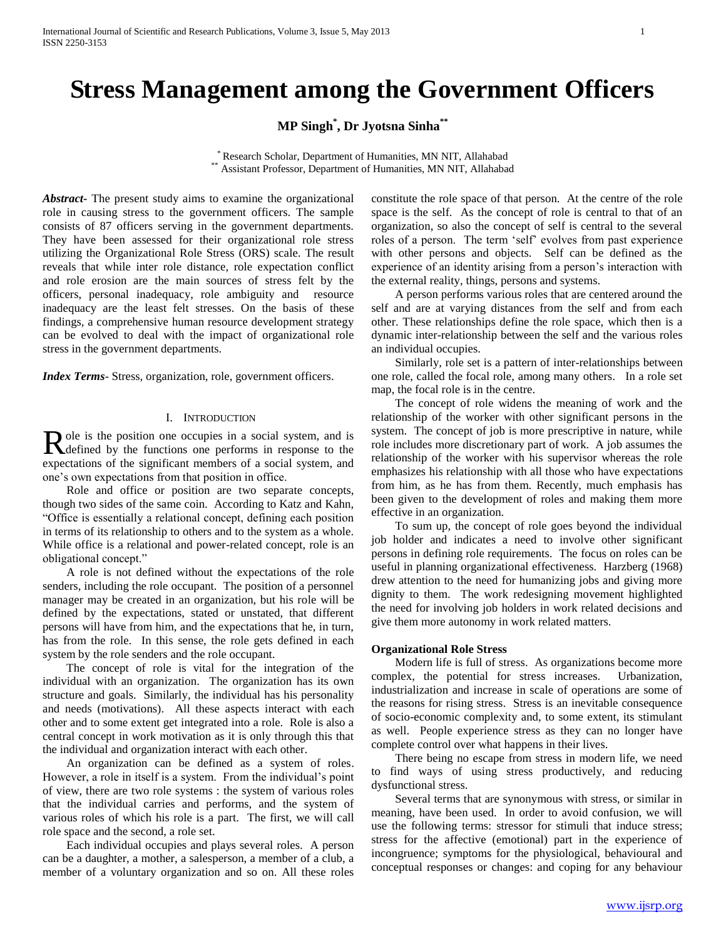# **Stress Management among the Government Officers**

**MP Singh\* , Dr Jyotsna Sinha\*\***

\* Research Scholar, Department of Humanities, MN NIT, Allahabad \*\* Assistant Professor, Department of Humanities, MN NIT, Allahabad

*Abstract***-** The present study aims to examine the organizational role in causing stress to the government officers. The sample consists of 87 officers serving in the government departments. They have been assessed for their organizational role stress utilizing the Organizational Role Stress (ORS) scale. The result reveals that while inter role distance, role expectation conflict and role erosion are the main sources of stress felt by the officers, personal inadequacy, role ambiguity and resource inadequacy are the least felt stresses. On the basis of these findings, a comprehensive human resource development strategy can be evolved to deal with the impact of organizational role stress in the government departments.

*Index Terms*- Stress, organization, role, government officers.

## I. INTRODUCTION

ole is the position one occupies in a social system, and is Role is the position one occupies in a social system, and is defined by the functions one performs in response to the expectations of the significant members of a social system, and one's own expectations from that position in office.

 Role and office or position are two separate concepts, though two sides of the same coin. According to Katz and Kahn, "Office is essentially a relational concept, defining each position in terms of its relationship to others and to the system as a whole. While office is a relational and power-related concept, role is an obligational concept."

 A role is not defined without the expectations of the role senders, including the role occupant. The position of a personnel manager may be created in an organization, but his role will be defined by the expectations, stated or unstated, that different persons will have from him, and the expectations that he, in turn, has from the role. In this sense, the role gets defined in each system by the role senders and the role occupant.

 The concept of role is vital for the integration of the individual with an organization. The organization has its own structure and goals. Similarly, the individual has his personality and needs (motivations). All these aspects interact with each other and to some extent get integrated into a role. Role is also a central concept in work motivation as it is only through this that the individual and organization interact with each other.

 An organization can be defined as a system of roles. However, a role in itself is a system. From the individual's point of view, there are two role systems : the system of various roles that the individual carries and performs, and the system of various roles of which his role is a part. The first, we will call role space and the second, a role set.

 Each individual occupies and plays several roles. A person can be a daughter, a mother, a salesperson, a member of a club, a member of a voluntary organization and so on. All these roles

constitute the role space of that person. At the centre of the role space is the self. As the concept of role is central to that of an organization, so also the concept of self is central to the several roles of a person. The term 'self' evolves from past experience with other persons and objects. Self can be defined as the experience of an identity arising from a person's interaction with the external reality, things, persons and systems.

 A person performs various roles that are centered around the self and are at varying distances from the self and from each other. These relationships define the role space, which then is a dynamic inter-relationship between the self and the various roles an individual occupies.

 Similarly, role set is a pattern of inter-relationships between one role, called the focal role, among many others. In a role set map, the focal role is in the centre.

 The concept of role widens the meaning of work and the relationship of the worker with other significant persons in the system. The concept of job is more prescriptive in nature, while role includes more discretionary part of work. A job assumes the relationship of the worker with his supervisor whereas the role emphasizes his relationship with all those who have expectations from him, as he has from them. Recently, much emphasis has been given to the development of roles and making them more effective in an organization.

 To sum up, the concept of role goes beyond the individual job holder and indicates a need to involve other significant persons in defining role requirements. The focus on roles can be useful in planning organizational effectiveness. Harzberg (1968) drew attention to the need for humanizing jobs and giving more dignity to them. The work redesigning movement highlighted the need for involving job holders in work related decisions and give them more autonomy in work related matters.

#### **Organizational Role Stress**

 Modern life is full of stress. As organizations become more complex, the potential for stress increases. Urbanization, industrialization and increase in scale of operations are some of the reasons for rising stress. Stress is an inevitable consequence of socio-economic complexity and, to some extent, its stimulant as well. People experience stress as they can no longer have complete control over what happens in their lives.

 There being no escape from stress in modern life, we need to find ways of using stress productively, and reducing dysfunctional stress.

 Several terms that are synonymous with stress, or similar in meaning, have been used. In order to avoid confusion, we will use the following terms: stressor for stimuli that induce stress; stress for the affective (emotional) part in the experience of incongruence; symptoms for the physiological, behavioural and conceptual responses or changes: and coping for any behaviour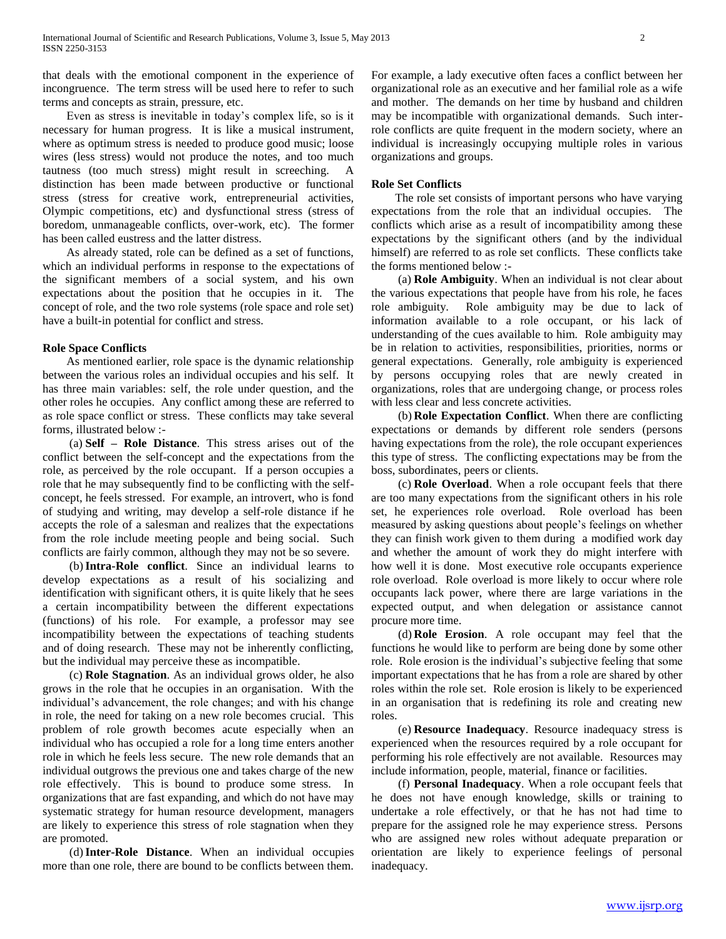that deals with the emotional component in the experience of incongruence. The term stress will be used here to refer to such terms and concepts as strain, pressure, etc.

 Even as stress is inevitable in today's complex life, so is it necessary for human progress. It is like a musical instrument, where as optimum stress is needed to produce good music; loose wires (less stress) would not produce the notes, and too much tautness (too much stress) might result in screeching. A distinction has been made between productive or functional stress (stress for creative work, entrepreneurial activities, Olympic competitions, etc) and dysfunctional stress (stress of boredom, unmanageable conflicts, over-work, etc). The former has been called eustress and the latter distress.

 As already stated, role can be defined as a set of functions, which an individual performs in response to the expectations of the significant members of a social system, and his own expectations about the position that he occupies in it. The concept of role, and the two role systems (role space and role set) have a built-in potential for conflict and stress.

#### **Role Space Conflicts**

 As mentioned earlier, role space is the dynamic relationship between the various roles an individual occupies and his self. It has three main variables: self, the role under question, and the other roles he occupies. Any conflict among these are referred to as role space conflict or stress. These conflicts may take several forms, illustrated below :-

 (a) **Self – Role Distance**. This stress arises out of the conflict between the self-concept and the expectations from the role, as perceived by the role occupant. If a person occupies a role that he may subsequently find to be conflicting with the selfconcept, he feels stressed. For example, an introvert, who is fond of studying and writing, may develop a self-role distance if he accepts the role of a salesman and realizes that the expectations from the role include meeting people and being social. Such conflicts are fairly common, although they may not be so severe.

 (b)**Intra-Role conflict**. Since an individual learns to develop expectations as a result of his socializing and identification with significant others, it is quite likely that he sees a certain incompatibility between the different expectations (functions) of his role. For example, a professor may see incompatibility between the expectations of teaching students and of doing research. These may not be inherently conflicting, but the individual may perceive these as incompatible.

 (c) **Role Stagnation**. As an individual grows older, he also grows in the role that he occupies in an organisation. With the individual's advancement, the role changes; and with his change in role, the need for taking on a new role becomes crucial. This problem of role growth becomes acute especially when an individual who has occupied a role for a long time enters another role in which he feels less secure. The new role demands that an individual outgrows the previous one and takes charge of the new role effectively. This is bound to produce some stress. In organizations that are fast expanding, and which do not have may systematic strategy for human resource development, managers are likely to experience this stress of role stagnation when they are promoted.

 (d)**Inter-Role Distance**. When an individual occupies more than one role, there are bound to be conflicts between them.

For example, a lady executive often faces a conflict between her organizational role as an executive and her familial role as a wife and mother. The demands on her time by husband and children may be incompatible with organizational demands. Such interrole conflicts are quite frequent in the modern society, where an individual is increasingly occupying multiple roles in various organizations and groups.

#### **Role Set Conflicts**

 The role set consists of important persons who have varying expectations from the role that an individual occupies. The conflicts which arise as a result of incompatibility among these expectations by the significant others (and by the individual himself) are referred to as role set conflicts. These conflicts take the forms mentioned below :-

 (a) **Role Ambiguity**. When an individual is not clear about the various expectations that people have from his role, he faces role ambiguity. Role ambiguity may be due to lack of information available to a role occupant, or his lack of understanding of the cues available to him. Role ambiguity may be in relation to activities, responsibilities, priorities, norms or general expectations. Generally, role ambiguity is experienced by persons occupying roles that are newly created in organizations, roles that are undergoing change, or process roles with less clear and less concrete activities.

 (b) **Role Expectation Conflict**. When there are conflicting expectations or demands by different role senders (persons having expectations from the role), the role occupant experiences this type of stress. The conflicting expectations may be from the boss, subordinates, peers or clients.

 (c) **Role Overload**. When a role occupant feels that there are too many expectations from the significant others in his role set, he experiences role overload. Role overload has been measured by asking questions about people's feelings on whether they can finish work given to them during a modified work day and whether the amount of work they do might interfere with how well it is done. Most executive role occupants experience role overload. Role overload is more likely to occur where role occupants lack power, where there are large variations in the expected output, and when delegation or assistance cannot procure more time.

 (d) **Role Erosion**. A role occupant may feel that the functions he would like to perform are being done by some other role. Role erosion is the individual's subjective feeling that some important expectations that he has from a role are shared by other roles within the role set. Role erosion is likely to be experienced in an organisation that is redefining its role and creating new roles.

 (e) **Resource Inadequacy**. Resource inadequacy stress is experienced when the resources required by a role occupant for performing his role effectively are not available. Resources may include information, people, material, finance or facilities.

 (f) **Personal Inadequacy**. When a role occupant feels that he does not have enough knowledge, skills or training to undertake a role effectively, or that he has not had time to prepare for the assigned role he may experience stress. Persons who are assigned new roles without adequate preparation or orientation are likely to experience feelings of personal inadequacy.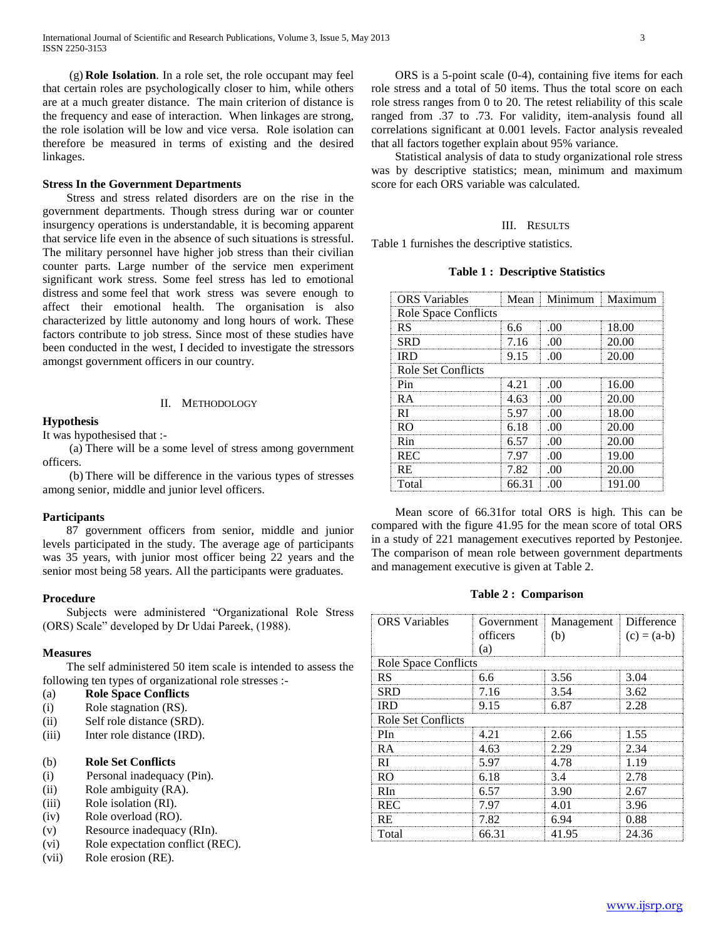(g) **Role Isolation**. In a role set, the role occupant may feel that certain roles are psychologically closer to him, while others are at a much greater distance. The main criterion of distance is the frequency and ease of interaction. When linkages are strong, the role isolation will be low and vice versa. Role isolation can therefore be measured in terms of existing and the desired linkages.

#### **Stress In the Government Departments**

 Stress and stress related disorders are on the rise in the government departments. Though stress during war or counter insurgency operations is understandable, it is becoming apparent that service life even in the absence of such situations is stressful. The military personnel have higher job stress than their civilian counter parts. Large number of the service men experiment significant work stress. Some feel stress has led to emotional distress and some feel that work stress was severe enough to affect their emotional health. The organisation is also characterized by little autonomy and long hours of work. These factors contribute to job stress. Since most of these studies have been conducted in the west, I decided to investigate the stressors amongst government officers in our country.

#### II. METHODOLOGY

#### **Hypothesis**

It was hypothesised that :-

 (a) There will be a some level of stress among government officers.

 (b) There will be difference in the various types of stresses among senior, middle and junior level officers.

#### **Participants**

 87 government officers from senior, middle and junior levels participated in the study. The average age of participants was 35 years, with junior most officer being 22 years and the senior most being 58 years. All the participants were graduates.

#### **Procedure**

 Subjects were administered "Organizational Role Stress (ORS) Scale" developed by Dr Udai Pareek, (1988).

#### **Measures**

 The self administered 50 item scale is intended to assess the following ten types of organizational role stresses :-

#### (a) **Role Space Conflicts**

- (i) Role stagnation (RS).
- (ii) Self role distance (SRD).
- (iii) Inter role distance (IRD).

## (b) **Role Set Conflicts**

- (i) Personal inadequacy (Pin).
- (ii) Role ambiguity (RA).
- (iii) Role isolation (RI).
- (iv) Role overload (RO).
- (v) Resource inadequacy (RIn).
- (vi) Role expectation conflict (REC).
- (vii) Role erosion (RE).

 ORS is a 5-point scale (0-4), containing five items for each role stress and a total of 50 items. Thus the total score on each role stress ranges from 0 to 20. The retest reliability of this scale ranged from .37 to .73. For validity, item-analysis found all correlations significant at 0.001 levels. Factor analysis revealed that all factors together explain about 95% variance.

 Statistical analysis of data to study organizational role stress was by descriptive statistics; mean, minimum and maximum score for each ORS variable was calculated.

#### III. RESULTS

Table 1 furnishes the descriptive statistics.

**Table 1 : Descriptive Statistics**

| <b>ORS</b> Variables     | Mean  | Minimum       | Maximum   |  |
|--------------------------|-------|---------------|-----------|--|
| Role Space Conflicts<br> |       |               |           |  |
| RS                       | 6.6   |               | 18.00     |  |
| SRD                      | 7.16  |               | 20.00     |  |
| IRD                      | 9.15  | $\Box$ ( )( ) | 20.00     |  |
| Role Set Conflicts       |       |               |           |  |
| Pin                      |       |               | 16.00     |  |
| RА                       | 4.63  | - 00          | 20.00     |  |
| RI                       | 5.97  | - ()()        | 18.00     |  |
| RΩ                       | 6.18  |               | 20.00<br> |  |
| Rin                      | 6.57  | .00           | 20.00     |  |
| REC                      | 7 97  |               | 19.00     |  |
| <b>RE</b>                | 7 82  |               | 20.00     |  |
| Total                    | 66.31 |               | 191.00    |  |

 Mean score of 66.31for total ORS is high. This can be compared with the figure 41.95 for the mean score of total ORS in a study of 221 management executives reported by Pestonjee. The comparison of mean role between government departments and management executive is given at Table 2.

#### **Table 2 : Comparison**

| <b>ORS</b> Variables | Government<br>officers<br>(a) | Management<br>(b) | Difference<br>$(c) = (a-b)$ |  |
|----------------------|-------------------------------|-------------------|-----------------------------|--|
| Role Space Conflicts |                               |                   |                             |  |
| <b>RS</b>            | 6.6                           | 3.56              | 3.04                        |  |
| SRD                  | 7.16                          | 3.54              | 3.62                        |  |
| IRD                  | 9.15                          | 6.87              | 2.28                        |  |
| Role Set Conflicts   |                               |                   |                             |  |
| PIn                  | 4.21                          | 2.66              | 1.55                        |  |
| R A                  | 4.63                          | 2.29              | 2.34                        |  |
| RI                   | 5.97                          | 4.78              | 119                         |  |
| RO                   | 6.18                          | 3.4               | 2.78                        |  |
| RIn                  | 6.57                          | 3.90              | 2.67                        |  |
| <b>REC</b>           | 7.97                          | 4.01              | 3.96                        |  |
| RE                   | 7.82                          | 6.94              | 0.88                        |  |
| Total                | 66.31                         | 41.95             | 24.36                       |  |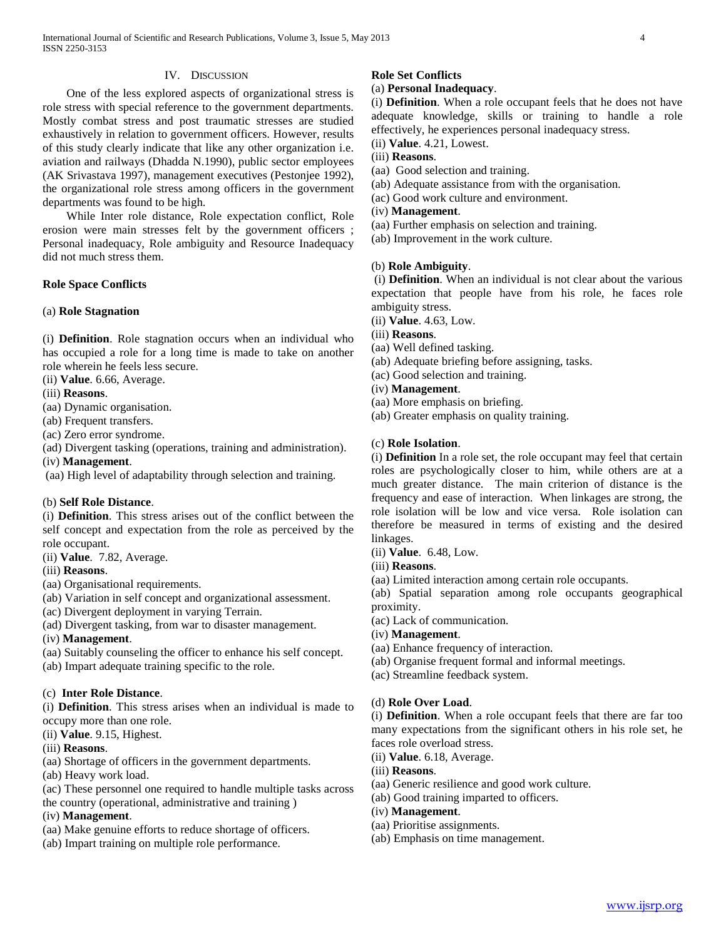#### IV. DISCUSSION

 One of the less explored aspects of organizational stress is role stress with special reference to the government departments. Mostly combat stress and post traumatic stresses are studied exhaustively in relation to government officers. However, results of this study clearly indicate that like any other organization i.e. aviation and railways (Dhadda N.1990), public sector employees (AK Srivastava 1997), management executives (Pestonjee 1992), the organizational role stress among officers in the government departments was found to be high.

 While Inter role distance, Role expectation conflict, Role erosion were main stresses felt by the government officers ; Personal inadequacy, Role ambiguity and Resource Inadequacy did not much stress them.

#### **Role Space Conflicts**

#### (a) **Role Stagnation**

(i) **Definition**. Role stagnation occurs when an individual who has occupied a role for a long time is made to take on another role wherein he feels less secure.

- (ii) **Value**. 6.66, Average.
- (iii) **Reasons**.
- (aa) Dynamic organisation.
- (ab) Frequent transfers.
- (ac) Zero error syndrome.
- (ad) Divergent tasking (operations, training and administration).
- (iv) **Management**.

(aa) High level of adaptability through selection and training.

#### (b) **Self Role Distance**.

(i) **Definition**. This stress arises out of the conflict between the self concept and expectation from the role as perceived by the role occupant.

- (ii) **Value**. 7.82, Average.
- (iii) **Reasons**.
- (aa) Organisational requirements.
- (ab) Variation in self concept and organizational assessment.
- (ac) Divergent deployment in varying Terrain.
- (ad) Divergent tasking, from war to disaster management.

(iv) **Management**.

(aa) Suitably counseling the officer to enhance his self concept. (ab) Impart adequate training specific to the role.

### (c) **Inter Role Distance**.

(i) **Definition**. This stress arises when an individual is made to occupy more than one role.

(ii) **Value**. 9.15, Highest.

### (iii) **Reasons**.

- (aa) Shortage of officers in the government departments.
- (ab) Heavy work load.
- (ac) These personnel one required to handle multiple tasks across
- the country (operational, administrative and training )

# (iv) **Management**.

- (aa) Make genuine efforts to reduce shortage of officers.
- (ab) Impart training on multiple role performance.

# **Role Set Conflicts**

# (a) **Personal Inadequacy**.

(i) **Definition**. When a role occupant feels that he does not have adequate knowledge, skills or training to handle a role effectively, he experiences personal inadequacy stress.

- (ii) **Value**. 4.21, Lowest.
- (iii) **Reasons**.
- (aa) Good selection and training.
- (ab) Adequate assistance from with the organisation.
- (ac) Good work culture and environment.
- (iv) **Management**.
- (aa) Further emphasis on selection and training.
- (ab) Improvement in the work culture.

## (b) **Role Ambiguity**.

(i) **Definition**. When an individual is not clear about the various expectation that people have from his role, he faces role ambiguity stress.

- (ii) **Value**. 4.63, Low.
- (iii) **Reasons**.
- (aa) Well defined tasking.
- (ab) Adequate briefing before assigning, tasks.
- (ac) Good selection and training.
- (iv) **Management**.
- (aa) More emphasis on briefing.
- (ab) Greater emphasis on quality training.

#### (c) **Role Isolation**.

(i) **Definition** In a role set, the role occupant may feel that certain roles are psychologically closer to him, while others are at a much greater distance. The main criterion of distance is the frequency and ease of interaction. When linkages are strong, the role isolation will be low and vice versa. Role isolation can therefore be measured in terms of existing and the desired linkages.

- (ii) **Value**. 6.48, Low.
- (iii) **Reasons**.
- (aa) Limited interaction among certain role occupants.

(ab) Spatial separation among role occupants geographical proximity.

- (ac) Lack of communication.
- (iv) **Management**.
- (aa) Enhance frequency of interaction.
- (ab) Organise frequent formal and informal meetings.
- (ac) Streamline feedback system.

#### (d) **Role Over Load**.

(i) **Definition**. When a role occupant feels that there are far too many expectations from the significant others in his role set, he faces role overload stress.

- (ii) **Value**. 6.18, Average.
- (iii) **Reasons**.
- (aa) Generic resilience and good work culture.
- (ab) Good training imparted to officers.
- (iv) **Management**.
- (aa) Prioritise assignments.
- (ab) Emphasis on time management.